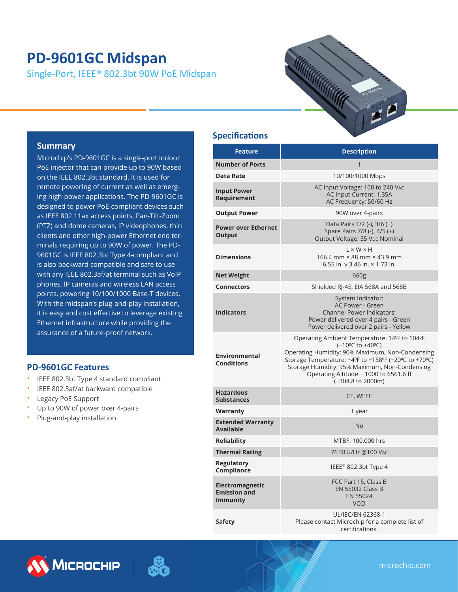# **PD-9601GC Midspan**

Single-Port, IEEE® 802.3bt 90W PoE Midspan



#### **Summary**

Microchip's PD-9601GC is a single-port indoor PoE injector that can provide up to 90W based on the IEEE 802.3bt standard. It is used for remote powering of current as well as emerging high-power applications. The PD-9601GC is designed to power PoE-compliant devices such as IEEE 802.11ax access points, Pan-Tilt-Zoom (PTZ) and dome cameras, IP videophones, thin clients and other high-power Ethernet end terminals requiring up to 90W of power. The PD-9601GC is IEEE 802.3bt Type 4-compliant and is also backward compatible and safe to use with any IEEE 802.3af/at terminal such as VoIP phones, IP cameras and wireless LAN access points, powering 10/100/1000 Base-T devices. With the midspan's plug-and-play installation, it is easy and cost effective to leverage existing Ethernet infrastructure while providing the assurance of a future-proof network.

#### **PD-9601GC Features**

- IEEE 802.3bt Type 4 standard compliant
- IEEE 802.3af/at backward compatible
- Legacy PoE Support
- Up to 90W of power over 4-pairs
- Plug-and-play installation

#### **Specifications**

|                                                                  | <b>Description</b>                                                                                                                                                                                                                                                                          |  |
|------------------------------------------------------------------|---------------------------------------------------------------------------------------------------------------------------------------------------------------------------------------------------------------------------------------------------------------------------------------------|--|
| <b>Feature</b>                                                   |                                                                                                                                                                                                                                                                                             |  |
| <b>Number of Ports</b>                                           | 1                                                                                                                                                                                                                                                                                           |  |
| <b>Data Rate</b>                                                 | 10/100/1000 Mbps                                                                                                                                                                                                                                                                            |  |
| <b>Input Power</b><br>Requirement                                | AC Input Voltage: 100 to 240 VAC<br>AC Input Current: 1.35A<br>AC Frequency: 50/60 Hz                                                                                                                                                                                                       |  |
| <b>Output Power</b>                                              | 90W over 4-pairs                                                                                                                                                                                                                                                                            |  |
| <b>Power over Ethernet</b><br><b>Output</b>                      | Data Pairs 1/2 (-), 3/6 (+)<br>Spare Pairs 7/8 (-), 4/5 (+)<br>Output Voltage: 55 VDC Nominal                                                                                                                                                                                               |  |
| <b>Dimensions</b>                                                | $L \times W \times H$<br>166.4 mm × 88 mm × 43.9 mm<br>6.55 in. y 3.46 in. × 1.73 in.                                                                                                                                                                                                       |  |
| <b>Net Weight</b>                                                | 660g                                                                                                                                                                                                                                                                                        |  |
| <b>Connectors</b>                                                | Shielded RJ-45, EIA 568A and 568B                                                                                                                                                                                                                                                           |  |
| <b>Indicators</b>                                                | System Indicator:<br><b>AC Power - Green</b><br><b>Channel Power Indicators:</b><br>Power delivered over 4 pairs - Green<br>Power delivered over 2 pairs - Yellow                                                                                                                           |  |
| <b>Environmental</b><br><b>Conditions</b>                        | Operating Ambient Temperature: 14ºF to 104ºF<br>(-10°C to +40°C)<br>Operating Humidity: 90% Maximum, Non-Condensing<br>Storage Temperature: -4ºF to +158ºF (-20ºC to +70ºC)<br>Storage Humidity: 95% Maximum, Non-Condensing<br>Operating Altitude: -1000 to 6561.6 ft<br>(-304.8 to 2000m) |  |
| <b>Hazardous</b><br><b>Substances</b>                            | CE, WEEE                                                                                                                                                                                                                                                                                    |  |
| Warranty                                                         | 1 year                                                                                                                                                                                                                                                                                      |  |
| <b>Extended Warranty</b><br><b>Available</b>                     | <b>No</b>                                                                                                                                                                                                                                                                                   |  |
| <b>Reliability</b>                                               | MTBF: 100,000 hrs                                                                                                                                                                                                                                                                           |  |
| <b>Thermal Rating</b>                                            | 76 BTU/Hr @100 VAC                                                                                                                                                                                                                                                                          |  |
| <b>Regulatory</b><br><b>Compliance</b>                           | IEEE® 802.3bt Type 4                                                                                                                                                                                                                                                                        |  |
| <b>Electromagnetic</b><br><b>Emission and</b><br><b>Immunity</b> | FCC Part 15, Class B<br><b>EN 55032 Class B</b><br><b>EN 55024</b><br><b>VCCI</b>                                                                                                                                                                                                           |  |
| Safety                                                           | UL/IEC/EN 62368-1<br>Please contact Microchip for a complete list of<br>certifications                                                                                                                                                                                                      |  |





microchip.com